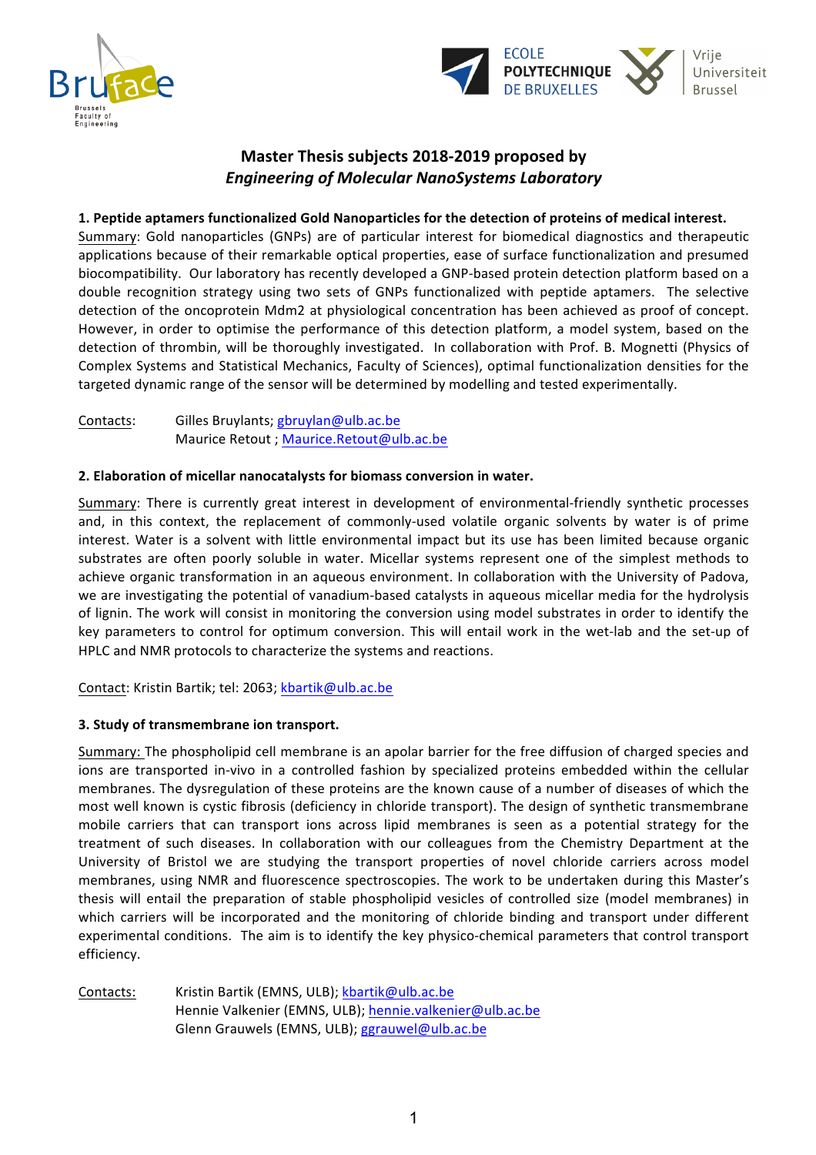



# **Master Thesis subjects 2018-2019 proposed by** *Engineering of Molecular NanoSystems Laboratory*

### **1. Peptide aptamers functionalized Gold Nanoparticles for the detection of proteins of medical interest.**

Summary: Gold nanoparticles (GNPs) are of particular interest for biomedical diagnostics and therapeutic applications because of their remarkable optical properties, ease of surface functionalization and presumed biocompatibility. Our laboratory has recently developed a GNP-based protein detection platform based on a double recognition strategy using two sets of GNPs functionalized with peptide aptamers. The selective detection of the oncoprotein Mdm2 at physiological concentration has been achieved as proof of concept. However, in order to optimise the performance of this detection platform, a model system, based on the detection of thrombin, will be thoroughly investigated. In collaboration with Prof. B. Mognetti (Physics of Complex Systems and Statistical Mechanics, Faculty of Sciences), optimal functionalization densities for the targeted dynamic range of the sensor will be determined by modelling and tested experimentally.

Contacts: Gilles Bruylants; gbruylan@ulb.ac.be Maurice Retout ; Maurice.Retout@ulb.ac.be

#### **2. Elaboration of micellar nanocatalysts for biomass conversion in water.**

Summary: There is currently great interest in development of environmental-friendly synthetic processes and, in this context, the replacement of commonly-used volatile organic solvents by water is of prime interest. Water is a solvent with little environmental impact but its use has been limited because organic substrates are often poorly soluble in water. Micellar systems represent one of the simplest methods to achieve organic transformation in an aqueous environment. In collaboration with the University of Padova, we are investigating the potential of vanadium-based catalysts in aqueous micellar media for the hydrolysis of lignin. The work will consist in monitoring the conversion using model substrates in order to identify the key parameters to control for optimum conversion. This will entail work in the wet-lab and the set-up of HPLC and NMR protocols to characterize the systems and reactions.

Contact: Kristin Bartik; tel: 2063; kbartik@ulb.ac.be

## **3. Study of transmembrane ion transport.**

Summary: The phospholipid cell membrane is an apolar barrier for the free diffusion of charged species and ions are transported in-vivo in a controlled fashion by specialized proteins embedded within the cellular membranes. The dysregulation of these proteins are the known cause of a number of diseases of which the most well known is cystic fibrosis (deficiency in chloride transport). The design of synthetic transmembrane mobile carriers that can transport ions across lipid membranes is seen as a potential strategy for the treatment of such diseases. In collaboration with our colleagues from the Chemistry Department at the University of Bristol we are studying the transport properties of novel chloride carriers across model membranes, using NMR and fluorescence spectroscopies. The work to be undertaken during this Master's thesis will entail the preparation of stable phospholipid vesicles of controlled size (model membranes) in which carriers will be incorporated and the monitoring of chloride binding and transport under different experimental conditions. The aim is to identify the key physico-chemical parameters that control transport efficiency.

Contacts: Kristin Bartik (EMNS, ULB); kbartik@ulb.ac.be Hennie Valkenier (EMNS, ULB); hennie.valkenier@ulb.ac.be Glenn Grauwels (EMNS, ULB); ggrauwel@ulb.ac.be